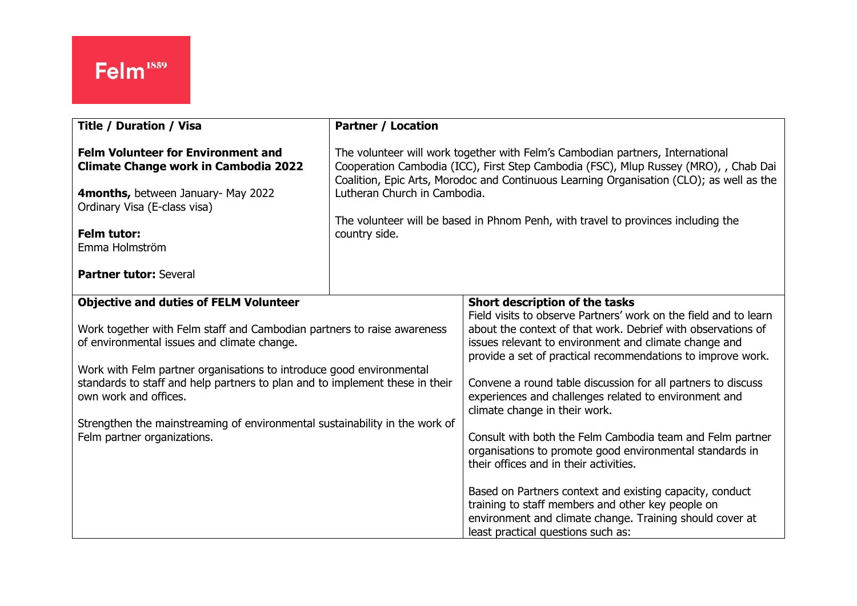| <b>Title / Duration / Visa</b>                                                                                                                                                                                                                                                                                                                                                                                                                                         | <b>Partner / Location</b>                                                                                                                                                                                                                                                                                                                                                                                |                                                                                                                                                                                                                                                                                                                                                                                                                                                                                                                                                                                                                                                                                                                                                                                                                                            |
|------------------------------------------------------------------------------------------------------------------------------------------------------------------------------------------------------------------------------------------------------------------------------------------------------------------------------------------------------------------------------------------------------------------------------------------------------------------------|----------------------------------------------------------------------------------------------------------------------------------------------------------------------------------------------------------------------------------------------------------------------------------------------------------------------------------------------------------------------------------------------------------|--------------------------------------------------------------------------------------------------------------------------------------------------------------------------------------------------------------------------------------------------------------------------------------------------------------------------------------------------------------------------------------------------------------------------------------------------------------------------------------------------------------------------------------------------------------------------------------------------------------------------------------------------------------------------------------------------------------------------------------------------------------------------------------------------------------------------------------------|
| <b>Felm Volunteer for Environment and</b><br><b>Climate Change work in Cambodia 2022</b><br>4months, between January- May 2022<br>Ordinary Visa (E-class visa)<br><b>Felm tutor:</b><br>Emma Holmström                                                                                                                                                                                                                                                                 | The volunteer will work together with Felm's Cambodian partners, International<br>Cooperation Cambodia (ICC), First Step Cambodia (FSC), Mlup Russey (MRO), , Chab Dai<br>Coalition, Epic Arts, Morodoc and Continuous Learning Organisation (CLO); as well as the<br>Lutheran Church in Cambodia.<br>The volunteer will be based in Phnom Penh, with travel to provinces including the<br>country side. |                                                                                                                                                                                                                                                                                                                                                                                                                                                                                                                                                                                                                                                                                                                                                                                                                                            |
| <b>Partner tutor: Several</b>                                                                                                                                                                                                                                                                                                                                                                                                                                          |                                                                                                                                                                                                                                                                                                                                                                                                          |                                                                                                                                                                                                                                                                                                                                                                                                                                                                                                                                                                                                                                                                                                                                                                                                                                            |
| <b>Objective and duties of FELM Volunteer</b><br>Work together with Felm staff and Cambodian partners to raise awareness<br>of environmental issues and climate change.<br>Work with Felm partner organisations to introduce good environmental<br>standards to staff and help partners to plan and to implement these in their<br>own work and offices.<br>Strengthen the mainstreaming of environmental sustainability in the work of<br>Felm partner organizations. |                                                                                                                                                                                                                                                                                                                                                                                                          | Short description of the tasks<br>Field visits to observe Partners' work on the field and to learn<br>about the context of that work. Debrief with observations of<br>issues relevant to environment and climate change and<br>provide a set of practical recommendations to improve work.<br>Convene a round table discussion for all partners to discuss<br>experiences and challenges related to environment and<br>climate change in their work.<br>Consult with both the Felm Cambodia team and Felm partner<br>organisations to promote good environmental standards in<br>their offices and in their activities.<br>Based on Partners context and existing capacity, conduct<br>training to staff members and other key people on<br>environment and climate change. Training should cover at<br>least practical questions such as: |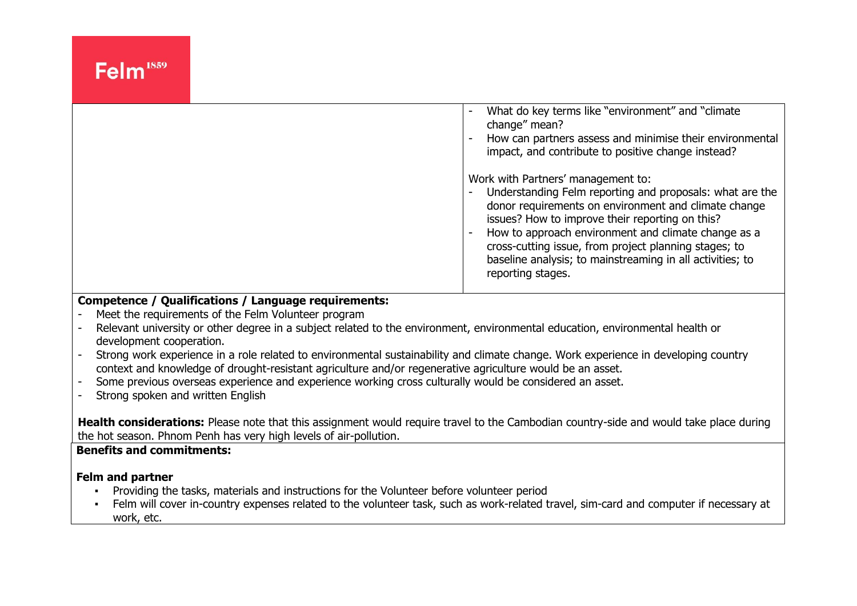|  | What do key terms like "environment" and "climate"<br>change" mean?<br>How can partners assess and minimise their environmental<br>$\overline{\phantom{a}}$<br>impact, and contribute to positive change instead?                                                                                                                                                                                                                       |
|--|-----------------------------------------------------------------------------------------------------------------------------------------------------------------------------------------------------------------------------------------------------------------------------------------------------------------------------------------------------------------------------------------------------------------------------------------|
|  | Work with Partners' management to:<br>Understanding Felm reporting and proposals: what are the<br>$\overline{\phantom{a}}$<br>donor requirements on environment and climate change<br>issues? How to improve their reporting on this?<br>How to approach environment and climate change as a<br>cross-cutting issue, from project planning stages; to<br>baseline analysis; to mainstreaming in all activities; to<br>reporting stages. |

#### **Competence / Qualifications / Language requirements:**

- Meet the requirements of the Felm Volunteer program
- Relevant university or other degree in a subject related to the environment, environmental education, environmental health or development cooperation.
- Strong work experience in a role related to environmental sustainability and climate change. Work experience in developing country context and knowledge of drought-resistant agriculture and/or regenerative agriculture would be an asset.
- Some previous overseas experience and experience working cross culturally would be considered an asset.
- Strong spoken and written English

**Health considerations:** Please note that this assignment would require travel to the Cambodian country-side and would take place during the hot season. Phnom Penh has very high levels of air-pollution.

### **Benefits and commitments:**

### **Felm and partner**

- Providing the tasks, materials and instructions for the Volunteer before volunteer period
- Felm will cover in-country expenses related to the volunteer task, such as work-related travel, sim-card and computer if necessary at work, etc.